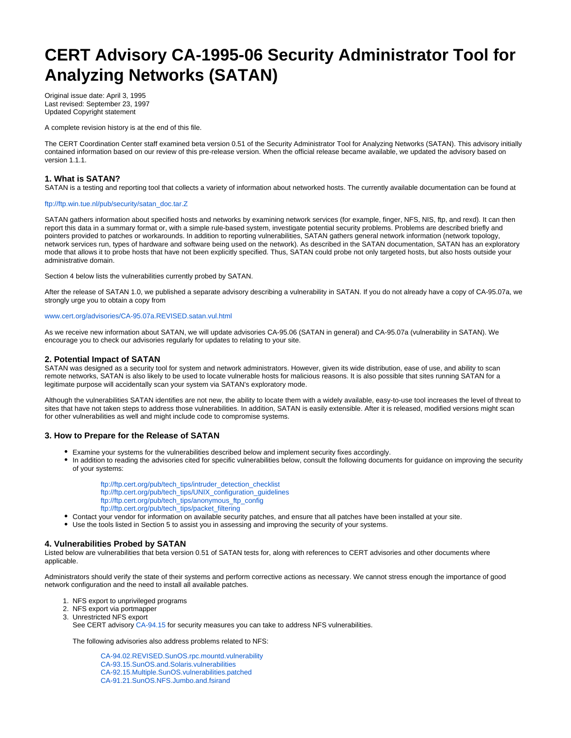# **CERT Advisory CA-1995-06 Security Administrator Tool for Analyzing Networks (SATAN)**

Original issue date: April 3, 1995 Last revised: September 23, 1997 Updated Copyright statement

A complete revision history is at the end of this file.

The CERT Coordination Center staff examined beta version 0.51 of the Security Administrator Tool for Analyzing Networks (SATAN). This advisory initially contained information based on our review of this pre-release version. When the official release became available, we updated the advisory based on version 1.1.1.

## **1. What is SATAN?**

SATAN is a testing and reporting tool that collects a variety of information about networked hosts. The currently available documentation can be found at

#### [ftp://ftp.win.tue.nl/pub/security/satan\\_doc.tar.Z](ftp://ftp.win.tue.nl/pub/security/satan_doc.tar.Z)

SATAN gathers information about specified hosts and networks by examining network services (for example, finger, NFS, NIS, ftp, and rexd). It can then report this data in a summary format or, with a simple rule-based system, investigate potential security problems. Problems are described briefly and pointers provided to patches or workarounds. In addition to reporting vulnerabilities, SATAN gathers general network information (network topology, network services run, types of hardware and software being used on the network). As described in the SATAN documentation, SATAN has an exploratory mode that allows it to probe hosts that have not been explicitly specified. Thus, SATAN could probe not only targeted hosts, but also hosts outside your administrative domain.

Section 4 below lists the vulnerabilities currently probed by SATAN.

After the release of SATAN 1.0, we published a separate advisory describing a vulnerability in SATAN. If you do not already have a copy of CA-95.07a, we strongly urge you to obtain a copy from

## [www.cert.org/advisories/CA-95.07a.REVISED.satan.vul.html](http://www.cert.org/advisories/CA-95.07a.REVISED.satan.vul.html)

As we receive new information about SATAN, we will update advisories CA-95.06 (SATAN in general) and CA-95.07a (vulnerability in SATAN). We encourage you to check our advisories regularly for updates to relating to your site.

#### **2. Potential Impact of SATAN**

SATAN was designed as a security tool for system and network administrators. However, given its wide distribution, ease of use, and ability to scan remote networks, SATAN is also likely to be used to locate vulnerable hosts for malicious reasons. It is also possible that sites running SATAN for a legitimate purpose will accidentally scan your system via SATAN's exploratory mode.

Although the vulnerabilities SATAN identifies are not new, the ability to locate them with a widely available, easy-to-use tool increases the level of threat to sites that have not taken steps to address those vulnerabilities. In addition, SATAN is easily extensible. After it is released, modified versions might scan for other vulnerabilities as well and might include code to compromise systems.

## **3. How to Prepare for the Release of SATAN**

- Examine your systems for the vulnerabilities described below and implement security fixes accordingly.
- In addition to reading the advisories cited for specific vulnerabilities below, consult the following documents for guidance on improving the security of your systems:
	- [ftp://ftp.cert.org/pub/tech\\_tips/intruder\\_detection\\_checklist](ftp://ftp.cert.org/pub/tech_tips/intruder_detection_checklist) [ftp://ftp.cert.org/pub/tech\\_tips/UNIX\\_configuration\\_guidelines](ftp://ftp.cert.org/pub/tech_tips/UNIX_configuration_guidelines) [ftp://ftp.cert.org/pub/tech\\_tips/anonymous\\_ftp\\_config](ftp://ftp.cert.org/pub/tech_tips/anonymous_ftp_config) [ftp://ftp.cert.org/pub/tech\\_tips/packet\\_filtering](ftp://ftp.cert.org/pub/tech_tips/packet_filtering)
- Contact your vendor for information on available security patches, and ensure that all patches have been installed at your site.
- Use the tools listed in Section 5 to assist you in assessing and improving the security of your systems.

## **4. Vulnerabilities Probed by SATAN**

Listed below are vulnerabilities that beta version 0.51 of SATAN tests for, along with references to CERT advisories and other documents where applicable.

Administrators should verify the state of their systems and perform corrective actions as necessary. We cannot stress enough the importance of good network configuration and the need to install all available patches.

- 1. NFS export to unprivileged programs
- 2. NFS export via portmapper
- 3. Unrestricted NFS export
	- See CERT advisory [CA-94.15](http://www.cert.org/advisories/CA-94.15.NFS.Vulnerabilities.html) for security measures you can take to address NFS vulnerabilities.

The following advisories also address problems related to NFS:

[CA-94.02.REVISED.SunOS.rpc.mountd.vulnerability](http://www.cert.org/advisories/CA-94.02.REVISED.SunOS.rpc.mountd.vulnerability.html) [CA-93.15.SunOS.and.Solaris.vulnerabilities](http://www.cert.org/advisories/CA-93.15.SunOS.and.Solaris.vulnerabilities.html) [CA-92.15.Multiple.SunOS.vulnerabilities.patched](http://www.cert.org/advisories/CA-92.15.Multiple.SunOS.vulnerabilities.patched.html) [CA-91.21.SunOS.NFS.Jumbo.and.fsirand](http://www.cert.org/advisories/CA-91.21.SunOS.NFS.Jumbo.and.fsirand.html)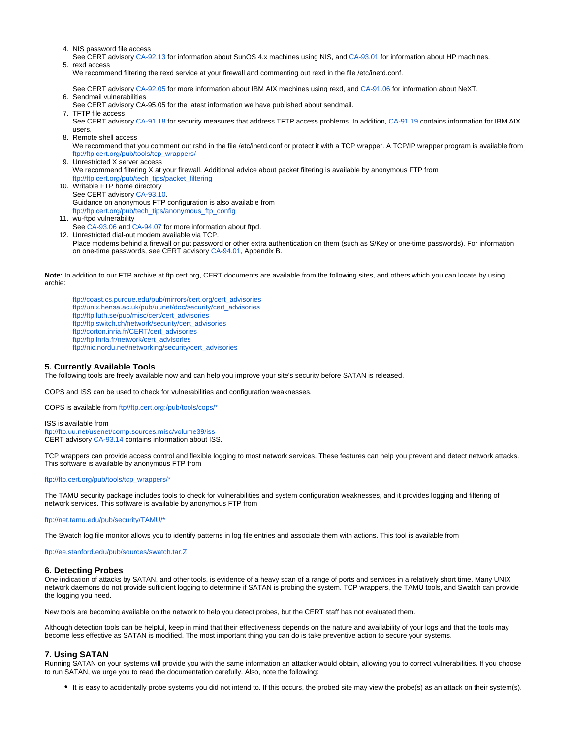- 4. NIS password file access
- 5. rexd access See CERT advisory [CA-92.13](http://www.cert.org/advisories/CA-92.13.SunOS.NIS.vulnerability.html) for information about SunOS 4.x machines using NIS, and [CA-93.01](http://www.cert.org/advisories/CA-93.01.REVISED.HP.NIS.ypbind.vulnerability.html) for information about HP machines.

We recommend filtering the rexd service at your firewall and commenting out rexd in the file /etc/inetd.conf.

See CERT advisory [CA-92.05](http://www.cert.org/advisories/CA-92.05.AIX.REXD.Daemon.vulnerability.html) for more information about IBM AIX machines using rexd, and [CA-91.06](http://www.cert.org/advisories/CA-91.06.NeXTstep.vulnerability.html) for information about NeXT.

6. Sendmail vulnerabilities

See CERT advisory CA-95.05 for the latest information we have published about sendmail.

- 7. TFTP file access See CERT advisory [CA-91.18](http://www.cert.org/advisories/CA-91.18.Active.Internet.tftp.Attacks.html) for security measures that address TFTP access problems. In addition, [CA-91.19](http://www.cert.org/advisories/CA-91.19.AIX.TFTP.Daemon.vulnerability.html) contains information for IBM AIX users.
- 8. Remote shell access

We recommend that you comment out rshd in the file /etc/inetd.conf or protect it with a TCP wrapper. A TCP/IP wrapper program is available from [ftp://ftp.cert.org/pub/tools/tcp\\_wrappers/](ftp://ftp.cert.org/pub/tools/tcp_wrappers/)

- 9. Unrestricted X server access We recommend filtering X at your firewall. Additional advice about packet filtering is available by anonymous FTP from [ftp://ftp.cert.org/pub/tech\\_tips/packet\\_filtering](ftp://ftp.cert.org/pub/tech_tips/packet_filtering)
- 10. Writable FTP home directory See CERT advisory [CA-93.10.](http://www.cert.org/advisories/CA-93.10.anonymous.FTP.activity.html) Guidance on anonymous FTP configuration is also available from [ftp://ftp.cert.org/pub/tech\\_tips/anonymous\\_ftp\\_config](ftp://ftp.cert.org/pub/tech_tips/anonymous_ftp_config)
- 11. wu-ftpd vulnerability See [CA-93.06](http://www.cert.org/advisories/CA-93.06.wuarchive.ftpd.vulnerability.html) and [CA-94.07](http://www.cert.org/advisories/CA-94.07.wuarchive.ftpd.trojan.horse.html) for more information about ftpd.
- 12. Unrestricted dial-out modem available via TCP. Place modems behind a firewall or put password or other extra authentication on them (such as S/Key or one-time passwords). For information on one-time passwords, see CERT advisory [CA-94.01](http://www.cert.org/advisories/CA-94.01.ongoing.network.monitoring.attacks.html), Appendix B.

Note: In addition to our FTP archive at ftp.cert.org, CERT documents are available from the following sites, and others which you can locate by using archie:

[ftp://coast.cs.purdue.edu/pub/mirrors/cert.org/cert\\_advisories](ftp://coast.cs.purdue.edu/pub/mirrors/cert.org/cert_advisories) [ftp://unix.hensa.ac.uk/pub/uunet/doc/security/cert\\_advisories](ftp://unix.hensa.ac.uk/pub/uunet/doc/security/cert_advisories) [ftp://ftp.luth.se/pub/misc/cert/cert\\_advisories](ftp://ftp.luth.se/pub/misc/cert/cert_advisories) [ftp://ftp.switch.ch/network/security/cert\\_advisories](ftp://ftp.switch.ch/network/security/cert_advisories) [ftp://corton.inria.fr/CERT/cert\\_advisories](ftp://corton.inria.fr/CERT/cert_advisories) [ftp://ftp.inria.fr/network/cert\\_advisories](ftp://ftp.inria.fr/network/cert_advisories) [ftp://nic.nordu.net/networking/security/cert\\_advisories](ftp://nic.nordu.net/networking/security/cert_advisories)

## **5. Currently Available Tools**

The following tools are freely available now and can help you improve your site's security before SATAN is released.

COPS and ISS can be used to check for vulnerabilities and configuration weaknesses.

COPS is available from [ftp//ftp.cert.org:/pub/tools/cops/\\*](ftp://ftp.cert.org/pub/tools/cops/)

ISS is available from <ftp://ftp.uu.net/usenet/comp.sources.misc/volume39/iss> CERT advisory [CA-93.14](http://www.cert.org/advisories/CA-93.14.Internet.Security.Scanner.html) contains information about ISS.

TCP wrappers can provide access control and flexible logging to most network services. These features can help you prevent and detect network attacks. This software is available by anonymous FTP from

#### [ftp://ftp.cert.org/pub/tools/tcp\\_wrappers/\\*](ftp://ftp.cert.org/pub/tools/tcp_wrappers/)

The TAMU security package includes tools to check for vulnerabilities and system configuration weaknesses, and it provides logging and filtering of network services. This software is available by anonymous FTP from

[ftp://net.tamu.edu/pub/security/TAMU/\\*](ftp://net.tamu.edu/pub/security/TAMU/*)

The Swatch log file monitor allows you to identify patterns in log file entries and associate them with actions. This tool is available from

<ftp://ee.stanford.edu/pub/sources/swatch.tar.Z>

#### **6. Detecting Probes**

One indication of attacks by SATAN, and other tools, is evidence of a heavy scan of a range of ports and services in a relatively short time. Many UNIX network daemons do not provide sufficient logging to determine if SATAN is probing the system. TCP wrappers, the TAMU tools, and Swatch can provide the logging you need.

New tools are becoming available on the network to help you detect probes, but the CERT staff has not evaluated them.

Although detection tools can be helpful, keep in mind that their effectiveness depends on the nature and availability of your logs and that the tools may become less effective as SATAN is modified. The most important thing you can do is take preventive action to secure your systems.

## **7. Using SATAN**

Running SATAN on your systems will provide you with the same information an attacker would obtain, allowing you to correct vulnerabilities. If you choose to run SATAN, we urge you to read the documentation carefully. Also, note the following:

It is easy to accidentally probe systems you did not intend to. If this occurs, the probed site may view the probe(s) as an attack on their system(s).